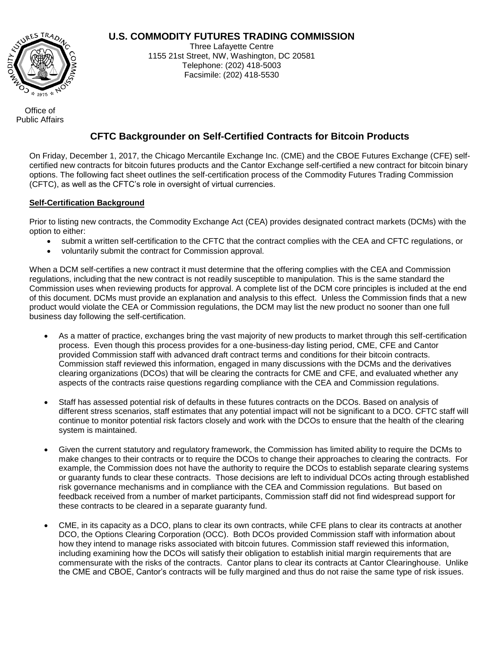# **U.S. COMMODITY FUTURES TRADING COMMISSION**



Three Lafayette Centre 1155 21st Street, NW, Washington, DC 20581 Telephone: (202) 418-5003 Facsimile: (202) 418-5530

Office of Public Affairs

# **CFTC Backgrounder on Self-Certified Contracts for Bitcoin Products**

On Friday, December 1, 2017, the Chicago Mercantile Exchange Inc. (CME) and the CBOE Futures Exchange (CFE) selfcertified new contracts for bitcoin futures products and the Cantor Exchange self-certified a new contract for bitcoin binary options. The following fact sheet outlines the self-certification process of the Commodity Futures Trading Commission (CFTC), as well as the CFTC's role in oversight of virtual currencies.

## **Self-Certification Background**

Prior to listing new contracts, the Commodity Exchange Act (CEA) provides designated contract markets (DCMs) with the option to either:

- submit a written self-certification to the CFTC that the contract complies with the CEA and CFTC regulations, or
- voluntarily submit the contract for Commission approval.

When a DCM self-certifies a new contract it must determine that the offering complies with the CEA and Commission regulations, including that the new contract is not readily susceptible to manipulation. This is the same standard the Commission uses when reviewing products for approval. A complete list of the DCM core principles is included at the end of this document. DCMs must provide an explanation and analysis to this effect. Unless the Commission finds that a new product would violate the CEA or Commission regulations, the DCM may list the new product no sooner than one full business day following the self-certification.

- As a matter of practice, exchanges bring the vast majority of new products to market through this self-certification process. Even though this process provides for a one-business-day listing period, CME, CFE and Cantor provided Commission staff with advanced draft contract terms and conditions for their bitcoin contracts. Commission staff reviewed this information, engaged in many discussions with the DCMs and the derivatives clearing organizations (DCOs) that will be clearing the contracts for CME and CFE, and evaluated whether any aspects of the contracts raise questions regarding compliance with the CEA and Commission regulations.
- Staff has assessed potential risk of defaults in these futures contracts on the DCOs. Based on analysis of different stress scenarios, staff estimates that any potential impact will not be significant to a DCO. CFTC staff will continue to monitor potential risk factors closely and work with the DCOs to ensure that the health of the clearing system is maintained.
- Given the current statutory and regulatory framework, the Commission has limited ability to require the DCMs to make changes to their contracts or to require the DCOs to change their approaches to clearing the contracts. For example, the Commission does not have the authority to require the DCOs to establish separate clearing systems or guaranty funds to clear these contracts. Those decisions are left to individual DCOs acting through established risk governance mechanisms and in compliance with the CEA and Commission regulations. But based on feedback received from a number of market participants, Commission staff did not find widespread support for these contracts to be cleared in a separate guaranty fund.
- CME, in its capacity as a DCO, plans to clear its own contracts, while CFE plans to clear its contracts at another DCO, the Options Clearing Corporation (OCC). Both DCOs provided Commission staff with information about how they intend to manage risks associated with bitcoin futures. Commission staff reviewed this information, including examining how the DCOs will satisfy their obligation to establish initial margin requirements that are commensurate with the risks of the contracts. Cantor plans to clear its contracts at Cantor Clearinghouse. Unlike the CME and CBOE, Cantor's contracts will be fully margined and thus do not raise the same type of risk issues.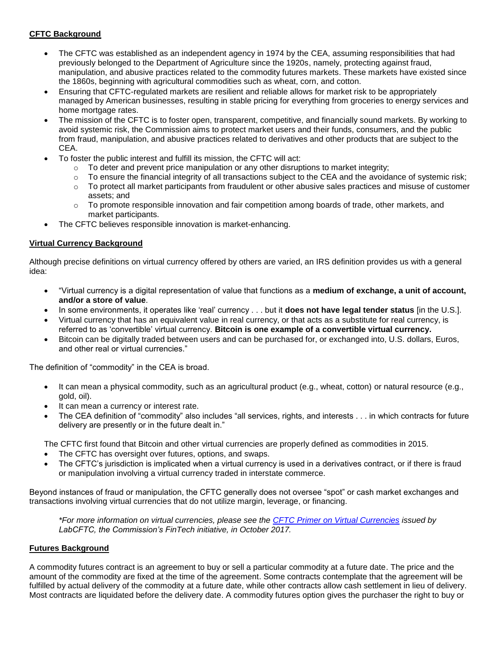# **CFTC Background**

- The CFTC was established as an independent agency in 1974 by the CEA, assuming responsibilities that had previously belonged to the Department of Agriculture since the 1920s, namely, protecting against fraud, manipulation, and abusive practices related to the commodity futures markets. These markets have existed since the 1860s, beginning with agricultural commodities such as wheat, corn, and cotton.
- Ensuring that CFTC-regulated markets are resilient and reliable allows for market risk to be appropriately managed by American businesses, resulting in stable pricing for everything from groceries to energy services and home mortgage rates.
- The mission of the CFTC is to foster open, transparent, competitive, and financially sound markets. By working to avoid systemic risk, the Commission aims to protect market users and their funds, consumers, and the public from fraud, manipulation, and abusive practices related to derivatives and other products that are subject to the CEA.
- To foster the public interest and fulfill its mission, the CFTC will act:
	- $\circ$  To deter and prevent price manipulation or any other disruptions to market integrity;
	- $\circ$  To ensure the financial integrity of all transactions subject to the CEA and the avoidance of systemic risk;
	- $\circ$  To protect all market participants from fraudulent or other abusive sales practices and misuse of customer assets; and
	- $\circ$  To promote responsible innovation and fair competition among boards of trade, other markets, and market participants.
- The CFTC believes responsible innovation is market-enhancing.

## **Virtual Currency Background**

Although precise definitions on virtual currency offered by others are varied, an IRS definition provides us with a general idea:

- "Virtual currency is a digital representation of value that functions as a **medium of exchange, a unit of account, and/or a store of value**.
- In some environments, it operates like 'real' currency . . . but it **does not have legal tender status** [in the U.S.].
- Virtual currency that has an equivalent value in real currency, or that acts as a substitute for real currency, is referred to as 'convertible' virtual currency. **Bitcoin is one example of a convertible virtual currency.**
- Bitcoin can be digitally traded between users and can be purchased for, or exchanged into, U.S. dollars, Euros, and other real or virtual currencies."

The definition of "commodity" in the CEA is broad.

- It can mean a physical commodity, such as an agricultural product (e.g., wheat, cotton) or natural resource (e.g., gold, oil).
- It can mean a currency or interest rate.
- The CEA definition of "commodity" also includes "all services, rights, and interests . . . in which contracts for future delivery are presently or in the future dealt in."

The CFTC first found that Bitcoin and other virtual currencies are properly defined as commodities in 2015.

- The CFTC has oversight over futures, options, and swaps.
- The CFTC's jurisdiction is implicated when a virtual currency is used in a derivatives contract, or if there is fraud or manipulation involving a virtual currency traded in interstate commerce.

Beyond instances of fraud or manipulation, the CFTC generally does not oversee "spot" or cash market exchanges and transactions involving virtual currencies that do not utilize margin, leverage, or financing.

*\*For more information on virtual currencies, please see the [CFTC Primer on Virtual Currencies](http://www.cftc.gov/PressRoom/PressReleases/pr7631-17) issued by LabCFTC, the Commission's FinTech initiative, in October 2017.* 

## **Futures Background**

A commodity futures contract is an agreement to buy or sell a particular commodity at a future date. The price and the amount of the commodity are fixed at the time of the agreement. Some contracts contemplate that the agreement will be fulfilled by actual delivery of the commodity at a future date, while other contracts allow cash settlement in lieu of delivery. Most contracts are liquidated before the delivery date. A commodity futures option gives the purchaser the right to buy or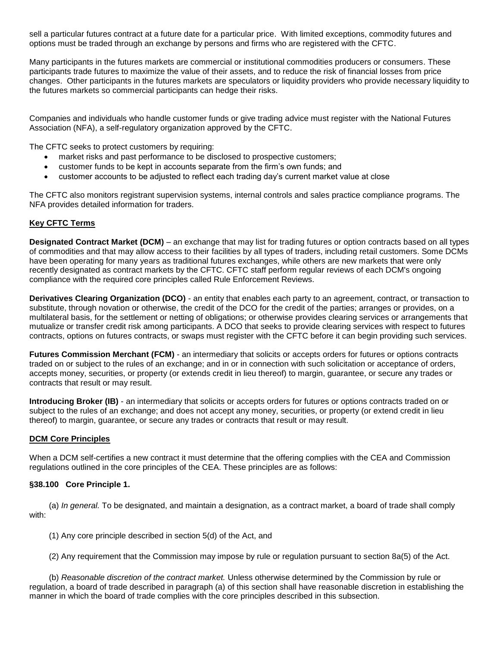sell a particular futures contract at a future date for a particular price. With limited exceptions, commodity futures and options must be traded through an exchange by persons and firms who are registered with the CFTC.

Many participants in the futures markets are commercial or institutional commodities producers or consumers. These participants trade futures to maximize the value of their assets, and to reduce the risk of financial losses from price changes. Other participants in the futures markets are speculators or liquidity providers who provide necessary liquidity to the futures markets so commercial participants can hedge their risks.

Companies and individuals who handle customer funds or give trading advice must register with the National Futures Association (NFA), a self-regulatory organization approved by the CFTC.

The CFTC seeks to protect customers by requiring:

- market risks and past performance to be disclosed to prospective customers;
- customer funds to be kept in accounts separate from the firm's own funds; and
- customer accounts to be adjusted to reflect each trading day's current market value at close

The CFTC also monitors registrant supervision systems, internal controls and sales practice compliance programs. The NFA provides detailed information for traders.

## **Key CFTC Terms**

**Designated Contract Market (DCM)** – an exchange that may list for trading futures or option contracts based on all types of commodities and that may allow access to their facilities by all types of traders, including retail customers. Some DCMs have been operating for many years as traditional futures exchanges, while others are new markets that were only recently designated as contract markets by the CFTC. CFTC staff perform regular reviews of each DCM's ongoing compliance with the required core principles called Rule Enforcement Reviews.

**Derivatives Clearing Organization (DCO)** - an entity that enables each party to an agreement, contract, or transaction to substitute, through novation or otherwise, the credit of the DCO for the credit of the parties; arranges or provides, on a multilateral basis, for the settlement or netting of obligations; or otherwise provides clearing services or arrangements that mutualize or transfer credit risk among participants. A DCO that seeks to provide clearing services with respect to futures contracts, options on futures contracts, or swaps must register with the CFTC before it can begin providing such services.

**Futures Commission Merchant (FCM)** - an intermediary that solicits or accepts orders for futures or options contracts traded on or subject to the rules of an exchange; and in or in connection with such solicitation or acceptance of orders, accepts money, securities, or property (or extends credit in lieu thereof) to margin, guarantee, or secure any trades or contracts that result or may result.

**Introducing Broker (IB)** - an intermediary that solicits or accepts orders for futures or options contracts traded on or subject to the rules of an exchange; and does not accept any money, securities, or property (or extend credit in lieu thereof) to margin, guarantee, or secure any trades or contracts that result or may result.

## **DCM Core Principles**

When a DCM self-certifies a new contract it must determine that the offering complies with the CEA and Commission regulations outlined in the core principles of the CEA. These principles are as follows:

## **§38.100 Core Principle 1.**

(a) *In general.* To be designated, and maintain a designation, as a contract market, a board of trade shall comply with:

(1) Any core principle described in section 5(d) of the Act, and

(2) Any requirement that the Commission may impose by rule or regulation pursuant to section 8a(5) of the Act.

(b) *Reasonable discretion of the contract market.* Unless otherwise determined by the Commission by rule or regulation, a board of trade described in paragraph (a) of this section shall have reasonable discretion in establishing the manner in which the board of trade complies with the core principles described in this subsection.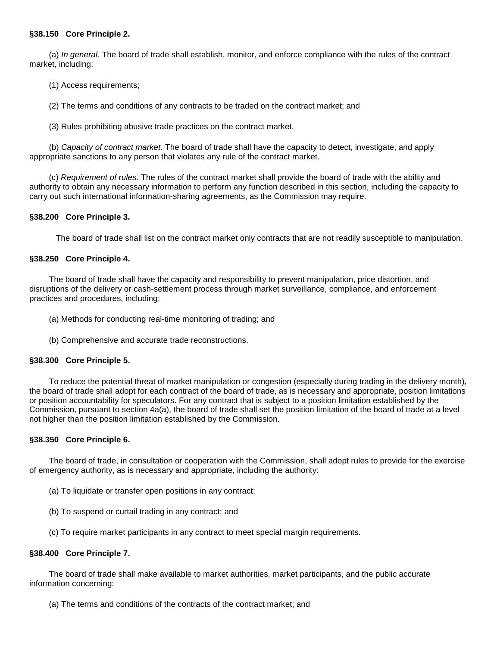## **§38.150 Core Principle 2.**

(a) *In general.* The board of trade shall establish, monitor, and enforce compliance with the rules of the contract market, including:

(1) Access requirements;

(2) The terms and conditions of any contracts to be traded on the contract market; and

(3) Rules prohibiting abusive trade practices on the contract market.

(b) *Capacity of contract market.* The board of trade shall have the capacity to detect, investigate, and apply appropriate sanctions to any person that violates any rule of the contract market.

(c) *Requirement of rules.* The rules of the contract market shall provide the board of trade with the ability and authority to obtain any necessary information to perform any function described in this section, including the capacity to carry out such international information-sharing agreements, as the Commission may require.

#### **§38.200 Core Principle 3.**

The board of trade shall list on the contract market only contracts that are not readily susceptible to manipulation.

#### **§38.250 Core Principle 4.**

The board of trade shall have the capacity and responsibility to prevent manipulation, price distortion, and disruptions of the delivery or cash-settlement process through market surveillance, compliance, and enforcement practices and procedures, including:

- (a) Methods for conducting real-time monitoring of trading; and
- (b) Comprehensive and accurate trade reconstructions.

#### **§38.300 Core Principle 5.**

To reduce the potential threat of market manipulation or congestion (especially during trading in the delivery month), the board of trade shall adopt for each contract of the board of trade, as is necessary and appropriate, position limitations or position accountability for speculators. For any contract that is subject to a position limitation established by the Commission, pursuant to section 4a(a), the board of trade shall set the position limitation of the board of trade at a level not higher than the position limitation established by the Commission.

## **§38.350 Core Principle 6.**

The board of trade, in consultation or cooperation with the Commission, shall adopt rules to provide for the exercise of emergency authority, as is necessary and appropriate, including the authority:

- (a) To liquidate or transfer open positions in any contract;
- (b) To suspend or curtail trading in any contract; and
- (c) To require market participants in any contract to meet special margin requirements.

#### **§38.400 Core Principle 7.**

The board of trade shall make available to market authorities, market participants, and the public accurate information concerning:

(a) The terms and conditions of the contracts of the contract market; and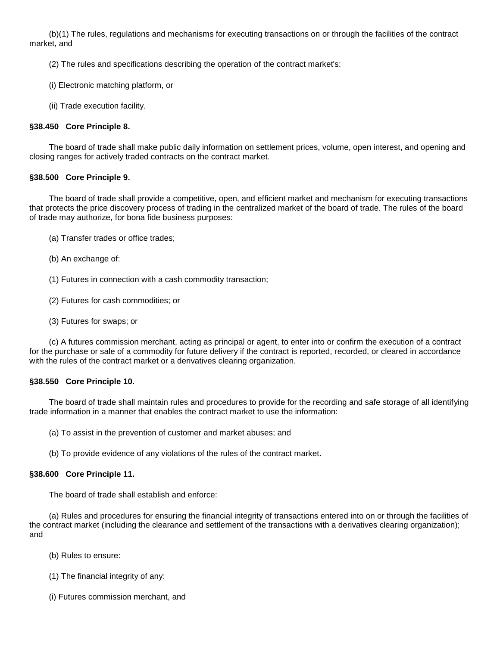(b)(1) The rules, regulations and mechanisms for executing transactions on or through the facilities of the contract market, and

(2) The rules and specifications describing the operation of the contract market's:

- (i) Electronic matching platform, or
- (ii) Trade execution facility.

## **§38.450 Core Principle 8.**

The board of trade shall make public daily information on settlement prices, volume, open interest, and opening and closing ranges for actively traded contracts on the contract market.

## **§38.500 Core Principle 9.**

The board of trade shall provide a competitive, open, and efficient market and mechanism for executing transactions that protects the price discovery process of trading in the centralized market of the board of trade. The rules of the board of trade may authorize, for bona fide business purposes:

- (a) Transfer trades or office trades;
- (b) An exchange of:
- (1) Futures in connection with a cash commodity transaction;
- (2) Futures for cash commodities; or
- (3) Futures for swaps; or

(c) A futures commission merchant, acting as principal or agent, to enter into or confirm the execution of a contract for the purchase or sale of a commodity for future delivery if the contract is reported, recorded, or cleared in accordance with the rules of the contract market or a derivatives clearing organization.

## **§38.550 Core Principle 10.**

The board of trade shall maintain rules and procedures to provide for the recording and safe storage of all identifying trade information in a manner that enables the contract market to use the information:

- (a) To assist in the prevention of customer and market abuses; and
- (b) To provide evidence of any violations of the rules of the contract market.

## **§38.600 Core Principle 11.**

The board of trade shall establish and enforce:

(a) Rules and procedures for ensuring the financial integrity of transactions entered into on or through the facilities of the contract market (including the clearance and settlement of the transactions with a derivatives clearing organization); and

- (b) Rules to ensure:
- (1) The financial integrity of any:
- (i) Futures commission merchant, and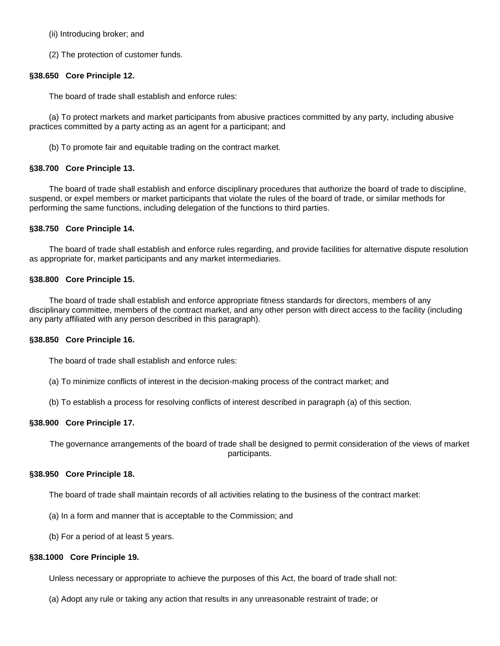(ii) Introducing broker; and

(2) The protection of customer funds.

## **§38.650 Core Principle 12.**

The board of trade shall establish and enforce rules:

(a) To protect markets and market participants from abusive practices committed by any party, including abusive practices committed by a party acting as an agent for a participant; and

(b) To promote fair and equitable trading on the contract market.

## **§38.700 Core Principle 13.**

The board of trade shall establish and enforce disciplinary procedures that authorize the board of trade to discipline, suspend, or expel members or market participants that violate the rules of the board of trade, or similar methods for performing the same functions, including delegation of the functions to third parties.

#### **§38.750 Core Principle 14.**

The board of trade shall establish and enforce rules regarding, and provide facilities for alternative dispute resolution as appropriate for, market participants and any market intermediaries.

#### **§38.800 Core Principle 15.**

The board of trade shall establish and enforce appropriate fitness standards for directors, members of any disciplinary committee, members of the contract market, and any other person with direct access to the facility (including any party affiliated with any person described in this paragraph).

#### **§38.850 Core Principle 16.**

The board of trade shall establish and enforce rules:

- (a) To minimize conflicts of interest in the decision-making process of the contract market; and
- (b) To establish a process for resolving conflicts of interest described in paragraph (a) of this section.

#### **§38.900 Core Principle 17.**

The governance arrangements of the board of trade shall be designed to permit consideration of the views of market participants.

#### **§38.950 Core Principle 18.**

The board of trade shall maintain records of all activities relating to the business of the contract market:

- (a) In a form and manner that is acceptable to the Commission; and
- (b) For a period of at least 5 years.

#### **§38.1000 Core Principle 19.**

Unless necessary or appropriate to achieve the purposes of this Act, the board of trade shall not:

(a) Adopt any rule or taking any action that results in any unreasonable restraint of trade; or